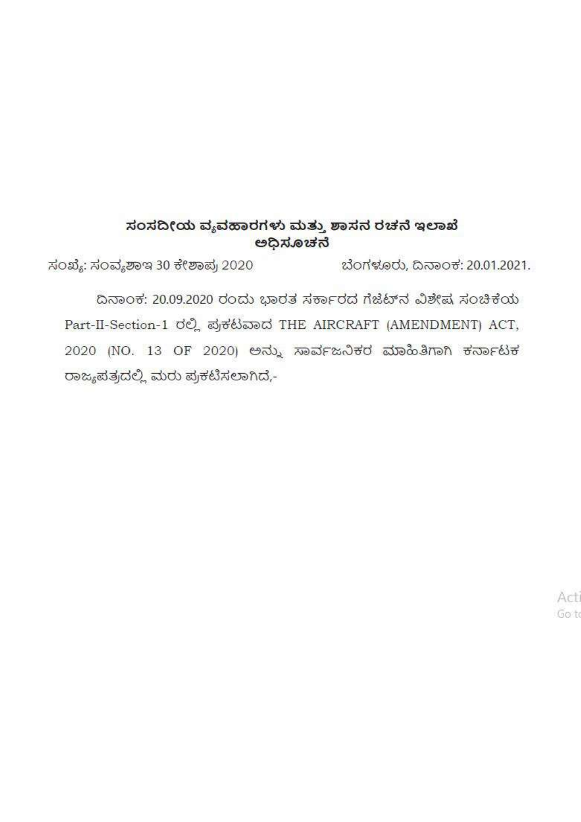## ಸಂಸದೀಯ ವ್ಯವಹಾರಗಳು ಮತ್ತು ಶಾಸನ ರಚನೆ ಇಲಾಖೆ ಅಧಿಸೂಚನೆ

ಸಂಖ್ಯೆ: ಸಂವ್ಯಶಾಇ 30 ಕೇಶಾಪ್ರ 2020 ಬೆಂಗಳೂರು, ದಿನಾಂಕ: 20.01.2021.

ದಿನಾಂಕ: 20.09.2020 ರಂದು ಭಾರತ ಸರ್ಕಾರದ ಗೆಜೆಟ್ ನವಿಶೇಷ ಸಂಚಿಕೆಯ Part-II-Section-1 ರಲ್ಲಿ ಪ್ರಕಟವಾದ THE AIRCRAFT (AMENDMENT) ACT, 2020 (NO. 13 OF 2020) ಅನ್ನು ಸಾರ್ವಜನಿಕರ ಮಾಹಿತಿಗಾಗಿ ಕರ್ನಾಟಕ ರಾಜ್ಯಪತ್ರದಲ್ಲಿ ಮರು ಪ್ರಕಟಿಸಲಾಗಿದೆ,-

> Act Got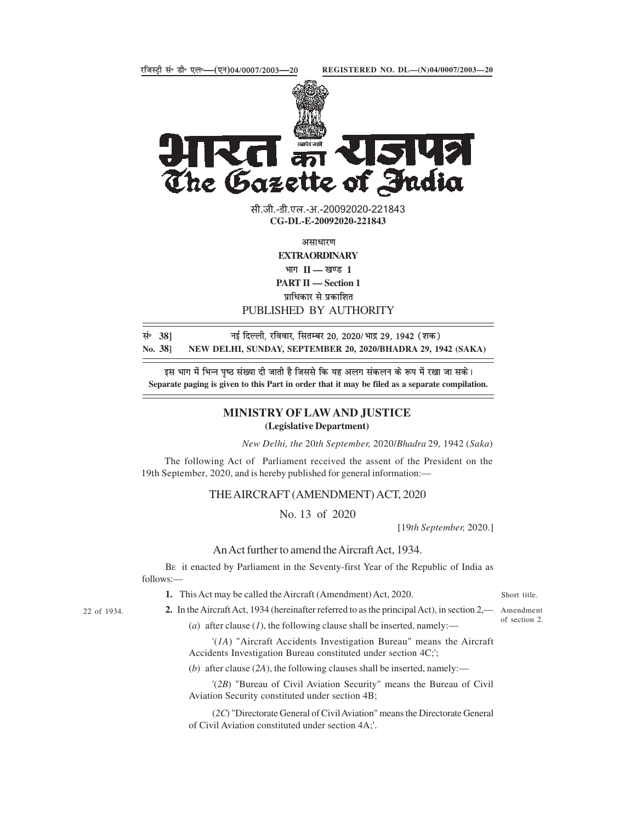

**JIRG के राजपत्र**<br>The Gazette of India

सी.जी.-डी.एल.-अ.-20092020-221843 **xxxGIDExxx CG-DL-E-20092020-221843**

**vlk/kkj.k**

**EXTRAORDINARY**

 $\mathbf{H} = \mathbf{I}$  **II** — खण्ड 1

**PART II — Section 1**

**प्राधिकार से प्रकाशित** 

PUBLISHED BY AUTHORITY

| सं∘ 38] | नई दिल्ली, रविवार, सितम्बर 20, 2020/ भाद्र 29, 1942 (शक)     |
|---------|--------------------------------------------------------------|
| No. 381 | NEW DELHI, SUNDAY, SEPTEMBER 20, 2020/BHADRA 29, 1942 (SAKA) |

इस भाग में भिन्न पृष्ठ संख्या दी जाती है जिससे कि यह अलग संकलन के रूप में रखा जा सके। **Separate paging is given to this Part in order that it may be filed as a separate compilation.**

## **MINISTRY OF LAW AND JUSTICE (Legislative Department)**

*New Delhi, the* 20*th September,* 2020/*Bhadra* 29*,* 1942 (*Saka*)

The following Act of Parliament received the assent of the President on the 19th September, 2020, and is hereby published for general information:—

THE AIRCRAFT (AMENDMENT) ACT, 2020

No. 13 of 2020

[19*th September,* 2020.]

## An Act further to amend the Aircraft Act, 1934.

BE it enacted by Parliament in the Seventy-first Year of the Republic of India as follows:—

**1.** This Act may be called the Aircraft (Amendment) Act, 2020.

Short title.

22 of 1934.

**2.** In the Aircraft Act, 1934 (hereinafter referred to as the principal Act), in section 2,— Amendment (*a*) after clause (*1*), the following clause shall be inserted, namely:—

of section 2.

'(*1A*) "Aircraft Accidents Investigation Bureau" means the Aircraft Accidents Investigation Bureau constituted under section 4C;';

(*b*) after clause (*2A*), the following clauses shall be inserted, namely:—

'(*2B*) "Bureau of Civil Aviation Security" means the Bureau of Civil Aviation Security constituted under section 4B;

(*2C*) "Directorate General of Civil Aviation" means the Directorate General of Civil Aviation constituted under section 4A;'.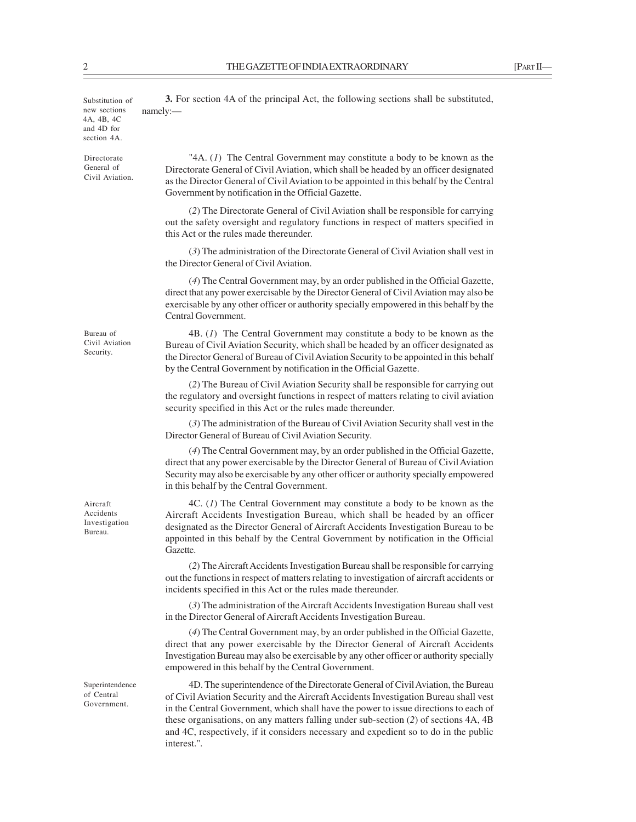Substitution of new sections 4A, 4B, 4C and 4D for section 4A.

namely:—

Directorate General of Civil Aviation.

Bureau of Civil Aviation Security.

Aircraft Accidents Investigation Bureau.

Superintendence of Central Government.

"4A. (*1*) The Central Government may constitute a body to be known as the Directorate General of Civil Aviation, which shall be headed by an officer designated as the Director General of Civil Aviation to be appointed in this behalf by the Central Government by notification in the Official Gazette.

**3.** For section 4A of the principal Act, the following sections shall be substituted,

(*2*) The Directorate General of Civil Aviation shall be responsible for carrying out the safety oversight and regulatory functions in respect of matters specified in this Act or the rules made thereunder.

(*3*) The administration of the Directorate General of Civil Aviation shall vest in the Director General of Civil Aviation.

(*4*) The Central Government may, by an order published in the Official Gazette, direct that any power exercisable by the Director General of Civil Aviation may also be exercisable by any other officer or authority specially empowered in this behalf by the Central Government.

4B. (*1*) The Central Government may constitute a body to be known as the Bureau of Civil Aviation Security, which shall be headed by an officer designated as the Director General of Bureau of Civil Aviation Security to be appointed in this behalf by the Central Government by notification in the Official Gazette.

(*2*) The Bureau of Civil Aviation Security shall be responsible for carrying out the regulatory and oversight functions in respect of matters relating to civil aviation security specified in this Act or the rules made thereunder.

(*3*) The administration of the Bureau of Civil Aviation Security shall vest in the Director General of Bureau of Civil Aviation Security.

(*4*) The Central Government may, by an order published in the Official Gazette, direct that any power exercisable by the Director General of Bureau of Civil Aviation Security may also be exercisable by any other officer or authority specially empowered in this behalf by the Central Government.

4C. (*1*) The Central Government may constitute a body to be known as the Aircraft Accidents Investigation Bureau, which shall be headed by an officer designated as the Director General of Aircraft Accidents Investigation Bureau to be appointed in this behalf by the Central Government by notification in the Official Gazette.

(*2*) The Aircraft Accidents Investigation Bureau shall be responsible for carrying out the functions in respect of matters relating to investigation of aircraft accidents or incidents specified in this Act or the rules made thereunder.

(*3*) The administration of the Aircraft Accidents Investigation Bureau shall vest in the Director General of Aircraft Accidents Investigation Bureau.

(*4*) The Central Government may, by an order published in the Official Gazette, direct that any power exercisable by the Director General of Aircraft Accidents Investigation Bureau may also be exercisable by any other officer or authority specially empowered in this behalf by the Central Government.

4D. The superintendence of the Directorate General of Civil Aviation, the Bureau of Civil Aviation Security and the Aircraft Accidents Investigation Bureau shall vest in the Central Government, which shall have the power to issue directions to each of these organisations, on any matters falling under sub-section (*2*) of sections 4A, 4B and 4C, respectively, if it considers necessary and expedient so to do in the public interest.''.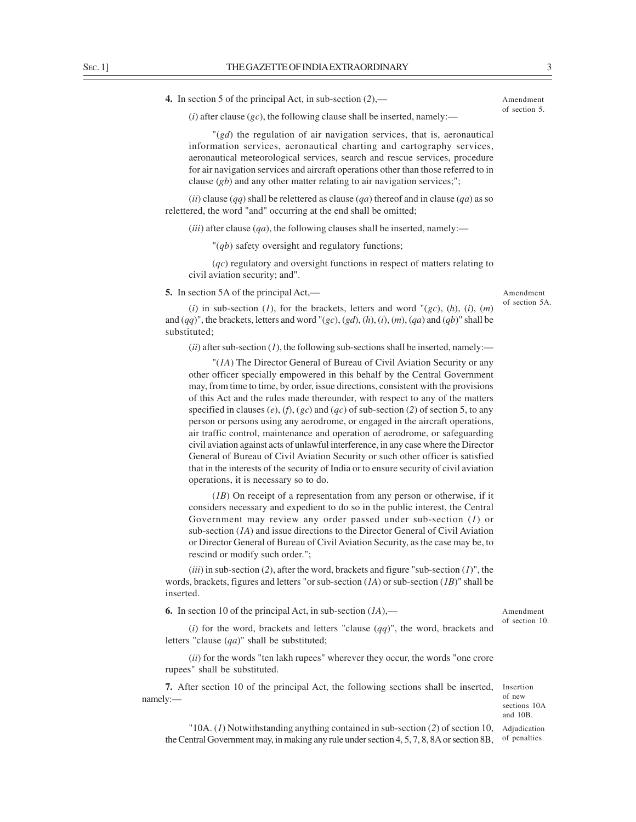**4.** In section 5 of the principal Act, in sub-section (*2*),—

Amendment of section 5.

 $(i)$  after clause  $(gc)$ , the following clause shall be inserted, namely:—

"(*gd*) the regulation of air navigation services, that is, aeronautical information services, aeronautical charting and cartography services, aeronautical meteorological services, search and rescue services, procedure for air navigation services and aircraft operations other than those referred to in clause (*gb*) and any other matter relating to air navigation services;";

(*ii*) clause (*qq*) shall be relettered as clause (*qa*) thereof and in clause (*qa*) as so relettered, the word "and" occurring at the end shall be omitted;

 $(iii)$  after clause  $(qa)$ , the following clauses shall be inserted, namely:—

"(*qb*) safety oversight and regulatory functions;

(*qc*) regulatory and oversight functions in respect of matters relating to civil aviation security; and".

**5.** In section 5A of the principal Act,—

Amendment of section 5A.

(*i*) in sub-section (*I*), for the brackets, letters and word " $(gc)$ ,  $(h)$ ,  $(i)$ ,  $(m)$ and (*qq*)", the brackets, letters and word "(*gc*), (*gd*), (*h*), (*i*), (*m*), (*qa*) and (*qb*)" shall be substituted;

 $(iii)$  after sub-section  $(I)$ , the following sub-sections shall be inserted, namely:—

"(*1A*) The Director General of Bureau of Civil Aviation Security or any other officer specially empowered in this behalf by the Central Government may, from time to time, by order, issue directions, consistent with the provisions of this Act and the rules made thereunder, with respect to any of the matters specified in clauses  $(e)$ ,  $(f)$ ,  $(gc)$  and  $(qc)$  of sub-section  $(2)$  of section 5, to any person or persons using any aerodrome, or engaged in the aircraft operations, air traffic control, maintenance and operation of aerodrome, or safeguarding civil aviation against acts of unlawful interference, in any case where the Director General of Bureau of Civil Aviation Security or such other officer is satisfied that in the interests of the security of India or to ensure security of civil aviation operations, it is necessary so to do.

(*1B*) On receipt of a representation from any person or otherwise, if it considers necessary and expedient to do so in the public interest, the Central Government may review any order passed under sub-section (*1*) or sub-section (*1A*) and issue directions to the Director General of Civil Aviation or Director General of Bureau of Civil Aviation Security, as the case may be, to rescind or modify such order.";

 $(iii)$  in sub-section (2), after the word, brackets and figure "sub-section (1)", the words, brackets, figures and letters "or sub-section (*1A*) or sub-section (*1B*)" shall be inserted.

**6.** In section 10 of the principal Act, in sub-section (*1A*),—

Amendment of section 10.

(*i*) for the word, brackets and letters "clause (*qq*)", the word, brackets and letters "clause (*qa*)" shall be substituted;

(*ii*) for the words "ten lakh rupees" wherever they occur, the words "one crore rupees" shall be substituted.

**7.** After section 10 of the principal Act, the following sections shall be inserted, namely:—

Insertion of new sections 10A and 10B.

"10A. (*1*) Notwithstanding anything contained in sub-section (*2*) of section 10, Adjudication the Central Government may, in making any rule under section 4, 5, 7, 8, 8A or section 8B, of penalties.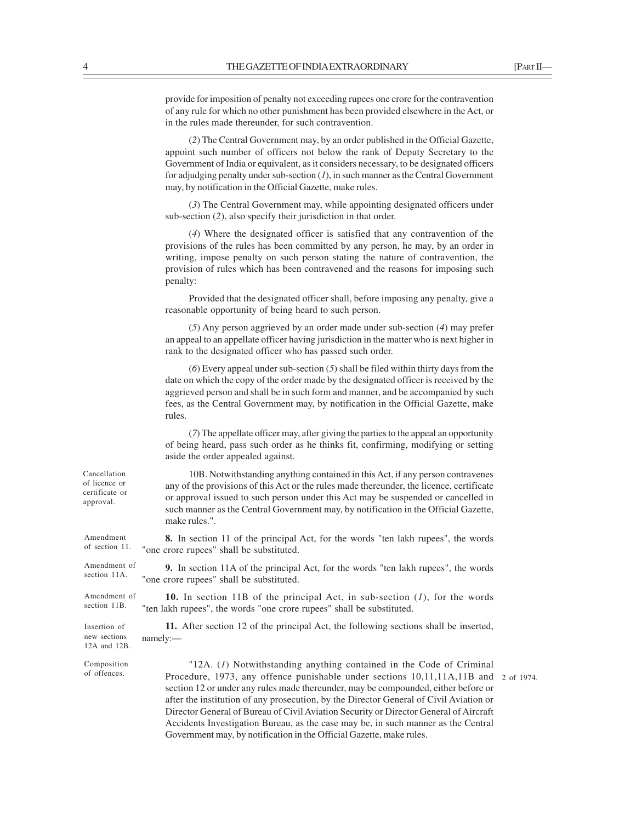provide for imposition of penalty not exceeding rupees one crore for the contravention of any rule for which no other punishment has been provided elsewhere in the Act, or in the rules made thereunder, for such contravention.

(*2*) The Central Government may, by an order published in the Official Gazette, appoint such number of officers not below the rank of Deputy Secretary to the Government of India or equivalent, as it considers necessary, to be designated officers for adjudging penalty under sub-section (*1*), in such manner as the Central Government may, by notification in the Official Gazette, make rules.

(*3*) The Central Government may, while appointing designated officers under sub-section (*2*), also specify their jurisdiction in that order.

(*4*) Where the designated officer is satisfied that any contravention of the provisions of the rules has been committed by any person, he may, by an order in writing, impose penalty on such person stating the nature of contravention, the provision of rules which has been contravened and the reasons for imposing such penalty:

Provided that the designated officer shall, before imposing any penalty, give a reasonable opportunity of being heard to such person.

(*5*) Any person aggrieved by an order made under sub-section (*4*) may prefer an appeal to an appellate officer having jurisdiction in the matter who is next higher in rank to the designated officer who has passed such order.

(*6*) Every appeal under sub-section (*5*) shall be filed within thirty days from the date on which the copy of the order made by the designated officer is received by the aggrieved person and shall be in such form and manner, and be accompanied by such fees, as the Central Government may, by notification in the Official Gazette, make rules.

(*7*) The appellate officer may, after giving the parties to the appeal an opportunity of being heard, pass such order as he thinks fit, confirming, modifying or setting aside the order appealed against.

| Cancellation<br>of licence or<br>certificate or<br>approval. | 10B. Notwithstanding anything contained in this Act, if any person contravenes<br>any of the provisions of this Act or the rules made thereunder, the licence, certificate<br>or approval issued to such person under this Act may be suspended or cancelled in<br>such manner as the Central Government may, by notification in the Official Gazette,<br>make rules.".                                                                                                                                                                                                                  |            |
|--------------------------------------------------------------|------------------------------------------------------------------------------------------------------------------------------------------------------------------------------------------------------------------------------------------------------------------------------------------------------------------------------------------------------------------------------------------------------------------------------------------------------------------------------------------------------------------------------------------------------------------------------------------|------------|
| Amendment<br>of section 11.                                  | <b>8.</b> In section 11 of the principal Act, for the words "ten lakh rupees", the words<br>"one crore rupees" shall be substituted.                                                                                                                                                                                                                                                                                                                                                                                                                                                     |            |
| Amendment of<br>section 11A.                                 | <b>9.</b> In section 11A of the principal Act, for the words "ten lakh rupees", the words<br>"one crore rupees" shall be substituted.                                                                                                                                                                                                                                                                                                                                                                                                                                                    |            |
| Amendment of<br>section 11B.                                 | <b>10.</b> In section 11B of the principal Act, in sub-section $(I)$ , for the words<br>"ten lakh rupees", the words "one crore rupees" shall be substituted.                                                                                                                                                                                                                                                                                                                                                                                                                            |            |
| Insertion of<br>new sections<br>12A and 12B.                 | 11. After section 12 of the principal Act, the following sections shall be inserted,<br>namely:                                                                                                                                                                                                                                                                                                                                                                                                                                                                                          |            |
| Composition<br>of offences.                                  | "12A. $(l)$ Notwithstanding anything contained in the Code of Criminal<br>Procedure, 1973, any offence punishable under sections 10,11,11A,11B and<br>section 12 or under any rules made thereunder, may be compounded, either before or<br>after the institution of any prosecution, by the Director General of Civil Aviation or<br>Director General of Bureau of Civil Aviation Security or Director General of Aircraft<br>Accidents Investigation Bureau, as the case may be, in such manner as the Central<br>Government may, by notification in the Official Gazette, make rules. | 2 of 1974. |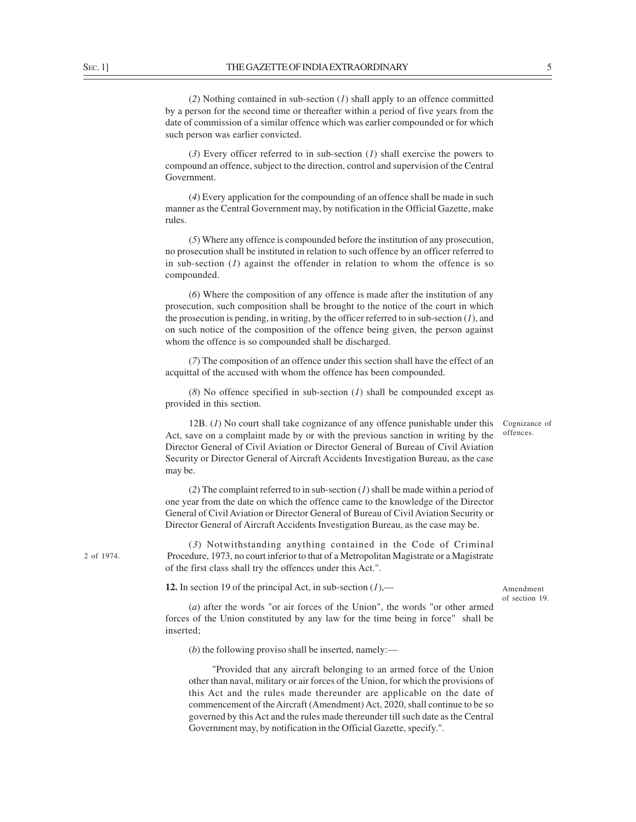2 of 1974.

(*2*) Nothing contained in sub-section (*1*) shall apply to an offence committed by a person for the second time or thereafter within a period of five years from the date of commission of a similar offence which was earlier compounded or for which such person was earlier convicted.

(*3*) Every officer referred to in sub-section (*1*) shall exercise the powers to compound an offence, subject to the direction, control and supervision of the Central Government.

(*4*) Every application for the compounding of an offence shall be made in such manner as the Central Government may, by notification in the Official Gazette, make rules.

(*5*) Where any offence is compounded before the institution of any prosecution, no prosecution shall be instituted in relation to such offence by an officer referred to in sub-section (*1*) against the offender in relation to whom the offence is so compounded.

(*6*) Where the composition of any offence is made after the institution of any prosecution, such composition shall be brought to the notice of the court in which the prosecution is pending, in writing, by the officer referred to in sub-section (*1*), and on such notice of the composition of the offence being given, the person against whom the offence is so compounded shall be discharged.

(*7*) The composition of an offence under this section shall have the effect of an acquittal of the accused with whom the offence has been compounded.

(*8*) No offence specified in sub-section (*1*) shall be compounded except as provided in this section.

12B. (*1*) No court shall take cognizance of any offence punishable under this Act, save on a complaint made by or with the previous sanction in writing by the Director General of Civil Aviation or Director General of Bureau of Civil Aviation Security or Director General of Aircraft Accidents Investigation Bureau, as the case may be. Cognizance of offences.

(*2*) The complaint referred to in sub-section (*1*) shall be made within a period of one year from the date on which the offence came to the knowledge of the Director General of Civil Aviation or Director General of Bureau of Civil Aviation Security or Director General of Aircraft Accidents Investigation Bureau, as the case may be.

(*3*) Notwithstanding anything contained in the Code of Criminal Procedure, 1973, no court inferior to that of a Metropolitan Magistrate or a Magistrate of the first class shall try the offences under this Act.".

**12.** In section 19 of the principal Act, in sub-section (*1*),—

Amendment of section 19.

(*a*) after the words "or air forces of the Union", the words "or other armed forces of the Union constituted by any law for the time being in force" shall be inserted;

(*b*) the following proviso shall be inserted, namely:—

"Provided that any aircraft belonging to an armed force of the Union other than naval, military or air forces of the Union, for which the provisions of this Act and the rules made thereunder are applicable on the date of commencement of the Aircraft (Amendment) Act, 2020, shall continue to be so governed by this Act and the rules made thereunder till such date as the Central Government may, by notification in the Official Gazette, specify.".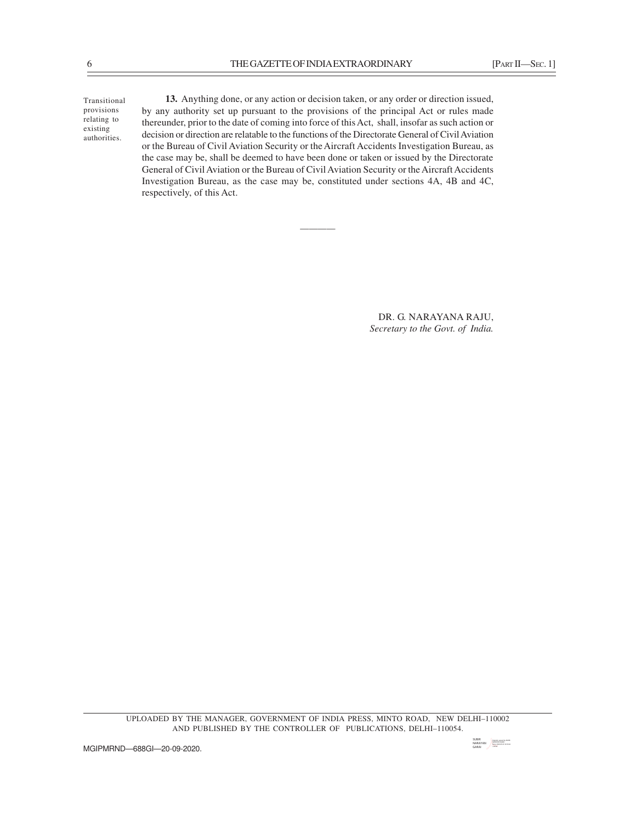Transitional provisions relating to existing authorities.

**13.** Anything done, or any action or decision taken, or any order or direction issued, by any authority set up pursuant to the provisions of the principal Act or rules made thereunder, prior to the date of coming into force of this Act, shall, insofar as such action or decision or direction are relatable to the functions of the Directorate General of Civil Aviation or the Bureau of Civil Aviation Security or the Aircraft Accidents Investigation Bureau, as the case may be, shall be deemed to have been done or taken or issued by the Directorate General of Civil Aviation or the Bureau of Civil Aviation Security or the Aircraft Accidents Investigation Bureau, as the case may be, constituted under sections 4A, 4B and 4C, respectively, of this Act.

*————*

DR. G. NARAYANA RAJU, *Secretary to the Govt. of India.*

UPLOADED BY THE MANAGER, GOVERNMENT OF INDIA PRESS, MINTO ROAD, NEW DELHI–110002 AND PUBLISHED BY THE CONTROLLER OF PUBLICATIONS, DELHI–110054.

SUBIR <sub>Digitally signed by SUBIR MARAYAN (NARAYAN )</sub><br>GARAI (1932-2020.09.20 14:35:46 GARAI )